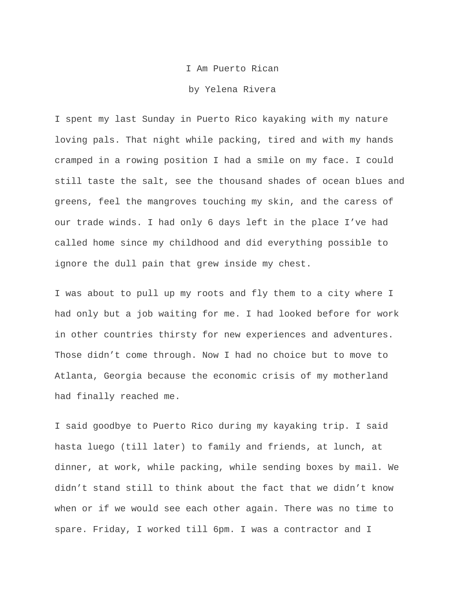## I Am Puerto Rican

## by Yelena Rivera

I spent my last Sunday in Puerto Rico kayaking with my nature loving pals. That night while packing, tired and with my hands cramped in a rowing position I had a smile on my face. I could still taste the salt, see the thousand shades of ocean blues and greens, feel the mangroves touching my skin, and the caress of our trade winds. I had only 6 days left in the place I've had called home since my childhood and did everything possible to ignore the dull pain that grew inside my chest.

I was about to pull up my roots and fly them to a city where I had only but a job waiting for me. I had looked before for work in other countries thirsty for new experiences and adventures. Those didn't come through. Now I had no choice but to move to Atlanta, Georgia because the economic crisis of my motherland had finally reached me.

I said goodbye to Puerto Rico during my kayaking trip. I said hasta luego (till later) to family and friends, at lunch, at dinner, at work, while packing, while sending boxes by mail. We didn't stand still to think about the fact that we didn't know when or if we would see each other again. There was no time to spare. Friday, I worked till 6pm. I was a contractor and I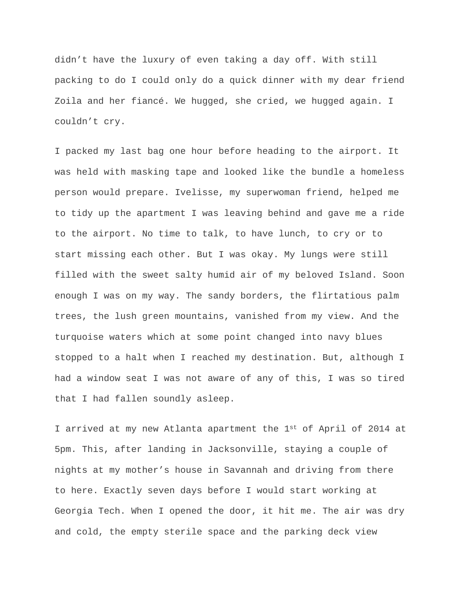didn't have the luxury of even taking a day off. With still packing to do I could only do a quick dinner with my dear friend Zoila and her fiancé. We hugged, she cried, we hugged again. I couldn't cry.

I packed my last bag one hour before heading to the airport. It was held with masking tape and looked like the bundle a homeless person would prepare. Ivelisse, my superwoman friend, helped me to tidy up the apartment I was leaving behind and gave me a ride to the airport. No time to talk, to have lunch, to cry or to start missing each other. But I was okay. My lungs were still filled with the sweet salty humid air of my beloved Island. Soon enough I was on my way. The sandy borders, the flirtatious palm trees, the lush green mountains, vanished from my view. And the turquoise waters which at some point changed into navy blues stopped to a halt when I reached my destination. But, although I had a window seat I was not aware of any of this, I was so tired that I had fallen soundly asleep.

I arrived at my new Atlanta apartment the 1st of April of 2014 at 5pm. This, after landing in Jacksonville, staying a couple of nights at my mother's house in Savannah and driving from there to here. Exactly seven days before I would start working at Georgia Tech. When I opened the door, it hit me. The air was dry and cold, the empty sterile space and the parking deck view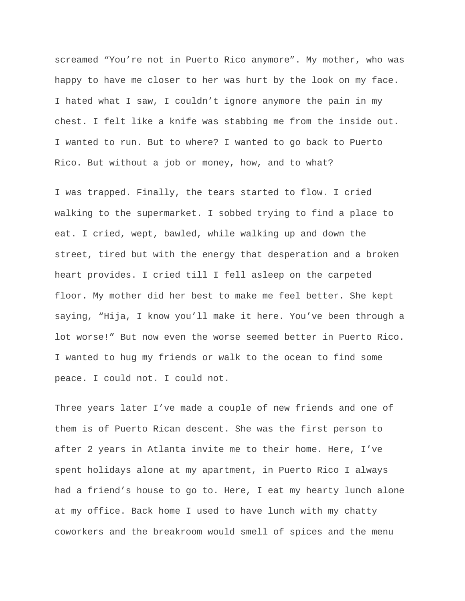screamed "You're not in Puerto Rico anymore". My mother, who was happy to have me closer to her was hurt by the look on my face. I hated what I saw, I couldn't ignore anymore the pain in my chest. I felt like a knife was stabbing me from the inside out. I wanted to run. But to where? I wanted to go back to Puerto Rico. But without a job or money, how, and to what?

I was trapped. Finally, the tears started to flow. I cried walking to the supermarket. I sobbed trying to find a place to eat. I cried, wept, bawled, while walking up and down the street, tired but with the energy that desperation and a broken heart provides. I cried till I fell asleep on the carpeted floor. My mother did her best to make me feel better. She kept saying, "Hija, I know you'll make it here. You've been through a lot worse!" But now even the worse seemed better in Puerto Rico. I wanted to hug my friends or walk to the ocean to find some peace. I could not. I could not.

Three years later I've made a couple of new friends and one of them is of Puerto Rican descent. She was the first person to after 2 years in Atlanta invite me to their home. Here, I've spent holidays alone at my apartment, in Puerto Rico I always had a friend's house to go to. Here, I eat my hearty lunch alone at my office. Back home I used to have lunch with my chatty coworkers and the breakroom would smell of spices and the menu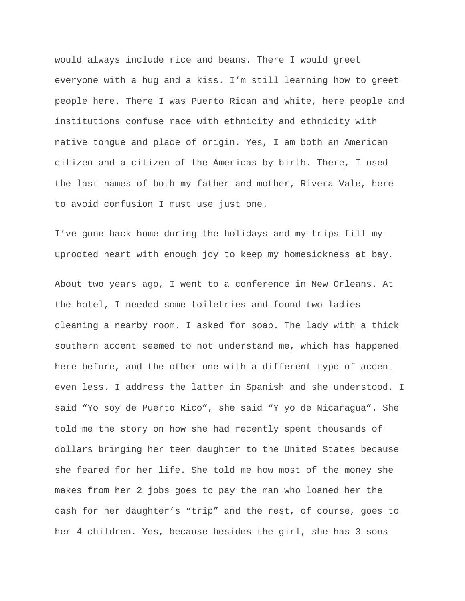would always include rice and beans. There I would greet everyone with a hug and a kiss. I'm still learning how to greet people here. There I was Puerto Rican and white, here people and institutions confuse race with ethnicity and ethnicity with native tongue and place of origin. Yes, I am both an American citizen and a citizen of the Americas by birth. There, I used the last names of both my father and mother, Rivera Vale, here to avoid confusion I must use just one.

I've gone back home during the holidays and my trips fill my uprooted heart with enough joy to keep my homesickness at bay.

About two years ago, I went to a conference in New Orleans. At the hotel, I needed some toiletries and found two ladies cleaning a nearby room. I asked for soap. The lady with a thick southern accent seemed to not understand me, which has happened here before, and the other one with a different type of accent even less. I address the latter in Spanish and she understood. I said "Yo soy de Puerto Rico", she said "Y yo de Nicaragua". She told me the story on how she had recently spent thousands of dollars bringing her teen daughter to the United States because she feared for her life. She told me how most of the money she makes from her 2 jobs goes to pay the man who loaned her the cash for her daughter's "trip" and the rest, of course, goes to her 4 children. Yes, because besides the girl, she has 3 sons